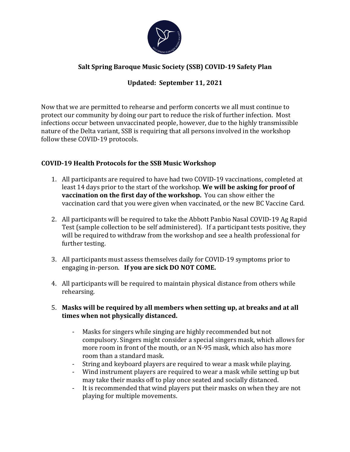

## **Salt Spring Baroque Music Society (SSB) COVID-19 Safety Plan**

## **Updated: September 11, 2021**

Now that we are permitted to rehearse and perform concerts we all must continue to protect our community by doing our part to reduce the risk of further infection. Most infections occur between unvaccinated people, however, due to the highly transmissible nature of the Delta variant, SSB is requiring that all persons involved in the workshop follow these COVID-19 protocols.

## **COVID-19 Health Protocols for the SSB Music Workshop**

- 1. All participants are required to have had two COVID-19 vaccinations, completed at least 14 days prior to the start of the workshop. We will be asking for proof of **vaccination on the first day of the workshop.** You can show either the vaccination card that you were given when vaccinated, or the new BC Vaccine Card.
- 2. All participants will be required to take the Abbott Panbio Nasal COVID-19 Ag Rapid Test (sample collection to be self administered). If a participant tests positive, they will be required to withdraw from the workshop and see a health professional for further testing.
- 3. All participants must assess themselves daily for COVID-19 symptoms prior to engaging in-person. If you are sick DO NOT COME.
- 4. All participants will be required to maintain physical distance from others while rehearsing.
- 5. Masks will be required by all members when setting up, at breaks and at all times when not physically distanced.
	- Masks for singers while singing are highly recommended but not compulsory. Singers might consider a special singers mask, which allows for more room in front of the mouth, or an N-95 mask, which also has more room than a standard mask.
	- String and keyboard players are required to wear a mask while playing.
	- Wind instrument players are required to wear a mask while setting up but may take their masks off to play once seated and socially distanced.
	- It is recommended that wind players put their masks on when they are not playing for multiple movements.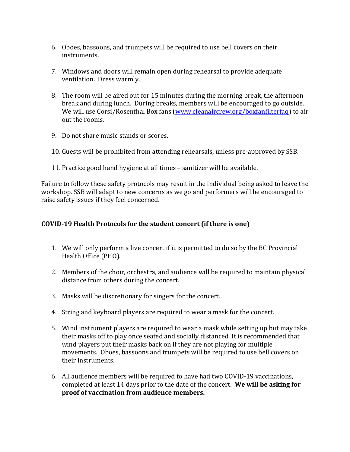- 6. Oboes, bassoons, and trumpets will be required to use bell covers on their instruments.
- 7. Windows and doors will remain open during rehearsal to provide adequate ventilation. Dress warmly.
- 8. The room will be aired out for 15 minutes during the morning break, the afternoon break and during lunch. During breaks, members will be encouraged to go outside. We will use Corsi/Rosenthal Box fans (www.cleanaircrew.org/boxfanfilterfaq) to air out the rooms.
- 9. Do not share music stands or scores.
- 10. Guests will be prohibited from attending rehearsals, unless pre-approved by SSB.
- 11. Practice good hand hygiene at all times sanitizer will be available.

Failure to follow these safety protocols may result in the individual being asked to leave the workshop. SSB will adapt to new concerns as we go and performers will be encouraged to raise safety issues if they feel concerned.

## **COVID-19 Health Protocols for the student concert (if there is one)**

- 1. We will only perform a live concert if it is permitted to do so by the BC Provincial Health Office (PHO).
- 2. Members of the choir, orchestra, and audience will be required to maintain physical distance from others during the concert.
- 3. Masks will be discretionary for singers for the concert.
- 4. String and keyboard players are required to wear a mask for the concert.
- 5. Wind instrument players are required to wear a mask while setting up but may take their masks off to play once seated and socially distanced. It is recommended that wind players put their masks back on if they are not playing for multiple movements. Oboes, bassoons and trumpets will be required to use bell covers on their instruments.
- 6. All audience members will be required to have had two COVID-19 vaccinations, completed at least 14 days prior to the date of the concert. We will be asking for proof of vaccination from audience members.